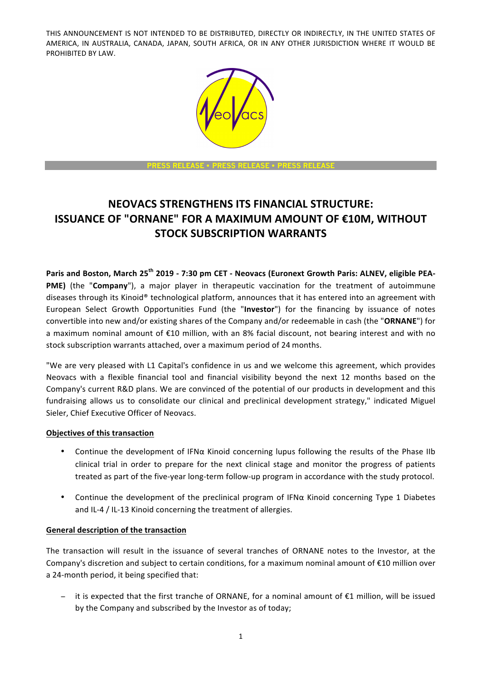

**PRESS RELEASE** • **PRESS RELEASE** • **PRESS RELEASE**

# **NEOVACS STRENGTHENS ITS FINANCIAL STRUCTURE: ISSUANCE OF "ORNANE" FOR A MAXIMUM AMOUNT OF €10M, WITHOUT STOCK SUBSCRIPTION WARRANTS**

Paris and Boston, March 25<sup>th</sup> 2019 - 7:30 pm CET - Neovacs (Euronext Growth Paris: ALNEV, eligible PEA-**PME)** (the "**Company**"), a major player in therapeutic vaccination for the treatment of autoimmune diseases through its Kinoid® technological platform, announces that it has entered into an agreement with European Select Growth Opportunities Fund (the "Investor") for the financing by issuance of notes convertible into new and/or existing shares of the Company and/or redeemable in cash (the "ORNANE") for a maximum nominal amount of €10 million, with an 8% facial discount, not bearing interest and with no stock subscription warrants attached, over a maximum period of 24 months.

"We are very pleased with L1 Capital's confidence in us and we welcome this agreement, which provides Neovacs with a flexible financial tool and financial visibility beyond the next 12 months based on the Company's current R&D plans. We are convinced of the potential of our products in development and this fundraising allows us to consolidate our clinical and preclinical development strategy," indicated Miguel Sieler, Chief Executive Officer of Neovacs.

### **Objectives of this transaction**

- Continue the development of IFN $\alpha$  Kinoid concerning lupus following the results of the Phase IIb clinical trial in order to prepare for the next clinical stage and monitor the progress of patients treated as part of the five-year long-term follow-up program in accordance with the study protocol.
- Continue the development of the preclinical program of IFN $\alpha$  Kinoid concerning Type 1 Diabetes and IL-4 / IL-13 Kinoid concerning the treatment of allergies.

### **General description of the transaction**

The transaction will result in the issuance of several tranches of ORNANE notes to the Investor, at the Company's discretion and subject to certain conditions, for a maximum nominal amount of  $E10$  million over a 24-month period, it being specified that:

it is expected that the first tranche of ORNANE, for a nominal amount of €1 million, will be issued by the Company and subscribed by the Investor as of today;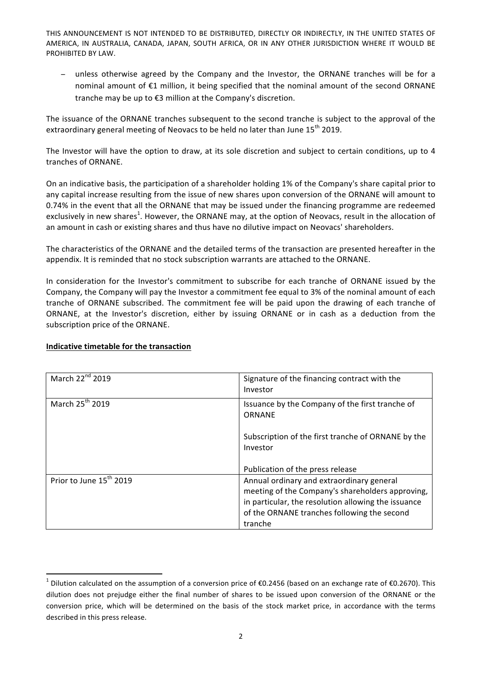− unless otherwise agreed by the Company and the Investor, the ORNANE tranches will be for a nominal amount of  $E1$  million, it being specified that the nominal amount of the second ORNANE tranche may be up to  $E3$  million at the Company's discretion.

The issuance of the ORNANE tranches subsequent to the second tranche is subject to the approval of the extraordinary general meeting of Neovacs to be held no later than June 15<sup>th</sup> 2019.

The Investor will have the option to draw, at its sole discretion and subject to certain conditions, up to 4 tranches of ORNANE.

On an indicative basis, the participation of a shareholder holding 1% of the Company's share capital prior to any capital increase resulting from the issue of new shares upon conversion of the ORNANE will amount to 0.74% in the event that all the ORNANE that may be issued under the financing programme are redeemed exclusively in new shares<sup>1</sup>. However, the ORNANE may, at the option of Neovacs, result in the allocation of an amount in cash or existing shares and thus have no dilutive impact on Neovacs' shareholders.

The characteristics of the ORNANE and the detailed terms of the transaction are presented hereafter in the appendix. It is reminded that no stock subscription warrants are attached to the ORNANE.

In consideration for the Investor's commitment to subscribe for each tranche of ORNANE issued by the Company, the Company will pay the Investor a commitment fee equal to 3% of the nominal amount of each tranche of ORNANE subscribed. The commitment fee will be paid upon the drawing of each tranche of ORNANE, at the Investor's discretion, either by issuing ORNANE or in cash as a deduction from the subscription price of the ORNANE.

| March 22 <sup>nd</sup> 2019         | Signature of the financing contract with the<br>Investor                                                                                                                                                       |
|-------------------------------------|----------------------------------------------------------------------------------------------------------------------------------------------------------------------------------------------------------------|
| March 25 <sup>th</sup> 2019         | Issuance by the Company of the first tranche of<br>ORNANF                                                                                                                                                      |
|                                     | Subscription of the first tranche of ORNANE by the<br>Investor                                                                                                                                                 |
|                                     | Publication of the press release                                                                                                                                                                               |
| Prior to June 15 <sup>th</sup> 2019 | Annual ordinary and extraordinary general<br>meeting of the Company's shareholders approving,<br>in particular, the resolution allowing the issuance<br>of the ORNANE tranches following the second<br>tranche |

### **Indicative timetable for the transaction**

<u> 1989 - Jan Samuel Barbara, margaret e</u>

<sup>&</sup>lt;sup>1</sup> Dilution calculated on the assumption of a conversion price of €0.2456 (based on an exchange rate of €0.2670). This dilution does not prejudge either the final number of shares to be issued upon conversion of the ORNANE or the conversion price, which will be determined on the basis of the stock market price, in accordance with the terms described in this press release.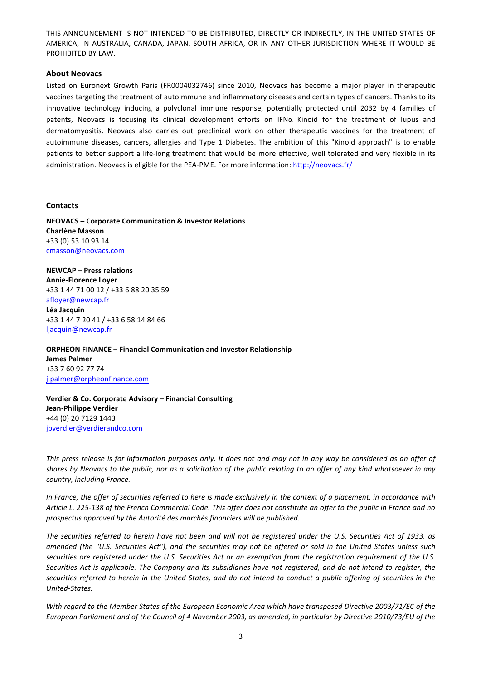#### **About Neovacs**

Listed on Euronext Growth Paris (FR0004032746) since 2010, Neovacs has become a major player in therapeutic vaccines targeting the treatment of autoimmune and inflammatory diseases and certain types of cancers. Thanks to its innovative technology inducing a polyclonal immune response, potentially protected until 2032 by 4 families of patents, Neovacs is focusing its clinical development efforts on IFNa Kinoid for the treatment of lupus and dermatomyositis. Neovacs also carries out preclinical work on other therapeutic vaccines for the treatment of autoimmune diseases, cancers, allergies and Type 1 Diabetes. The ambition of this "Kinoid approach" is to enable patients to better support a life-long treatment that would be more effective, well tolerated and very flexible in its administration. Neovacs is eligible for the PEA-PME. For more information: http://neovacs.fr/

#### **Contacts**

**NEOVACS – Corporate Communication & Investor Relations Charlène Masson** +33 (0) 53 10 93 14 cmasson@neovacs.com

**NEWCAP – Press relations Annie-Florence Loyer** +33 1 44 71 00 12 / +33 6 88 20 35 59 afloyer@newcap.fr **Léa Jacquin** +33 1 44 7 20 41 / +33 6 58 14 84 66 ljacquin@newcap.fr

**ORPHEON FINANCE – Financial Communication and Investor Relationship James Palmer**  +33 7 60 92 77 74 j.palmer@orpheonfinance.com

**Verdier & Co. Corporate Advisory - Financial Consulting Jean-Philippe Verdier** +44 (0) 20 7129 1443 jpverdier@verdierandco.com

This press release is for information purposes only. It does not and may not in any way be considered as an offer of shares by Neovacs to the public, nor as a solicitation of the public relating to an offer of any kind whatsoever in any *country, including France.*

*In France, the offer of securities referred to here is made exclusively in the context of a placement, in accordance with* Article L. 225-138 of the French Commercial Code. This offer does not constitute an offer to the public in France and no prospectus approved by the Autorité des marchés financiers will be published.

The securities referred to herein have not been and will not be registered under the U.S. Securities Act of 1933, as amended (the "U.S. Securities Act"), and the securities may not be offered or sold in the United States unless such securities are registered under the U.S. Securities Act or an exemption from the registration requirement of the U.S. Securities Act is applicable. The Company and its subsidiaries have not registered, and do not intend to register, the securities referred to herein in the United States, and do not intend to conduct a public offering of securities in the *United-States.*

With regard to the Member States of the European Economic Area which have transposed Directive 2003/71/EC of the *European Parliament and of the Council of 4 November 2003, as amended, in particular by Directive 2010/73/EU of the*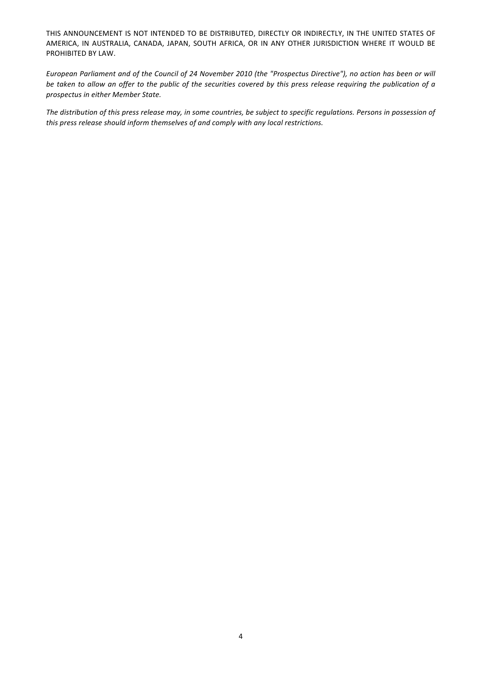*European Parliament and of the Council of 24 November 2010 (the "Prospectus Directive"), no action has been or will be* taken to allow an offer to the public of the securities covered by this press release requiring the publication of a *prospectus in either Member State.*

The distribution of this press release may, in some countries, be subject to specific regulations. Persons in possession of this press release should inform themselves of and comply with any local restrictions.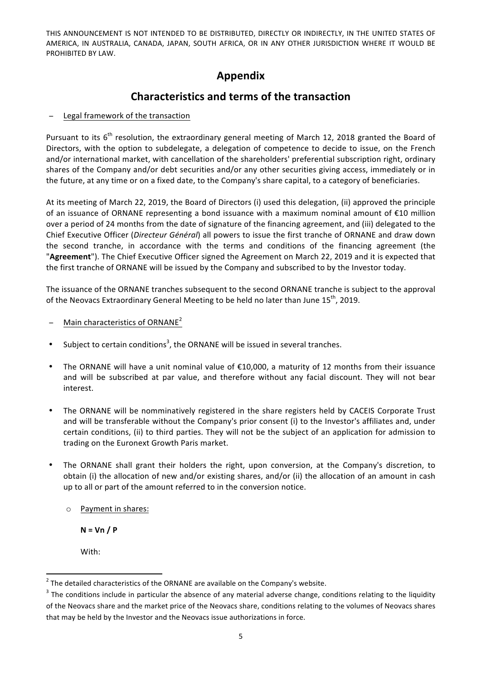## **Appendix**

## **Characteristics and terms of the transaction**

### Legal framework of the transaction

Pursuant to its  $6<sup>th</sup>$  resolution, the extraordinary general meeting of March 12, 2018 granted the Board of Directors, with the option to subdelegate, a delegation of competence to decide to issue, on the French and/or international market, with cancellation of the shareholders' preferential subscription right, ordinary shares of the Company and/or debt securities and/or any other securities giving access, immediately or in the future, at any time or on a fixed date, to the Company's share capital, to a category of beneficiaries.

At its meeting of March 22, 2019, the Board of Directors (i) used this delegation, (ii) approved the principle of an issuance of ORNANE representing a bond issuance with a maximum nominal amount of  $E10$  million over a period of 24 months from the date of signature of the financing agreement, and (iii) delegated to the Chief Executive Officer (*Directeur Général*) all powers to issue the first tranche of ORNANE and draw down the second tranche, in accordance with the terms and conditions of the financing agreement (the "Agreement"). The Chief Executive Officer signed the Agreement on March 22, 2019 and it is expected that the first tranche of ORNANE will be issued by the Company and subscribed to by the Investor today.

The issuance of the ORNANE tranches subsequent to the second ORNANE tranche is subject to the approval of the Neovacs Extraordinary General Meeting to be held no later than June 15<sup>th</sup>, 2019.

- − Main characteristics of ORNANE<sup>2</sup>
- Subject to certain conditions<sup>3</sup>, the ORNANE will be issued in several tranches.
- The ORNANE will have a unit nominal value of  $£10,000$ , a maturity of 12 months from their issuance and will be subscribed at par value, and therefore without any facial discount. They will not bear interest.
- The ORNANE will be nomminatively registered in the share registers held by CACEIS Corporate Trust and will be transferable without the Company's prior consent (i) to the Investor's affiliates and, under certain conditions, (ii) to third parties. They will not be the subject of an application for admission to trading on the Euronext Growth Paris market.
- The ORNANE shall grant their holders the right, upon conversion, at the Company's discretion, to obtain (i) the allocation of new and/or existing shares, and/or (ii) the allocation of an amount in cash up to all or part of the amount referred to in the conversion notice.
	- o Payment in shares:

 $N = Vn / P$ 

With:

<sup>&</sup>lt;u> 1989 - Jan Samuel Barbara, margaret e</u>  $^2$  The detailed characteristics of the ORNANE are available on the Company's website.

 $3$  The conditions include in particular the absence of any material adverse change, conditions relating to the liquidity of the Neovacs share and the market price of the Neovacs share, conditions relating to the volumes of Neovacs shares that may be held by the Investor and the Neovacs issue authorizations in force.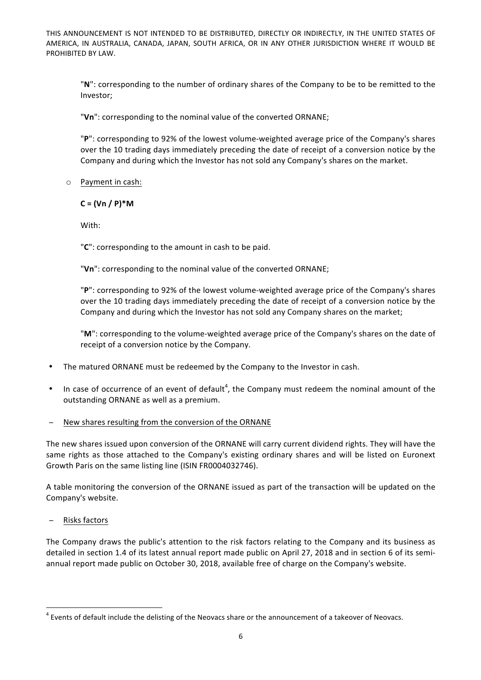"N": corresponding to the number of ordinary shares of the Company to be to be remitted to the Investor;

"Vn": corresponding to the nominal value of the converted ORNANE;

"P": corresponding to 92% of the lowest volume-weighted average price of the Company's shares over the 10 trading days immediately preceding the date of receipt of a conversion notice by the Company and during which the Investor has not sold any Company's shares on the market.

 $\circ$  Payment in cash:

 $C = (Vn / P)*M$ 

With:

"C": corresponding to the amount in cash to be paid.

"Vn": corresponding to the nominal value of the converted ORNANE;

"P": corresponding to 92% of the lowest volume-weighted average price of the Company's shares over the 10 trading days immediately preceding the date of receipt of a conversion notice by the Company and during which the Investor has not sold any Company shares on the market;

"M": corresponding to the volume-weighted average price of the Company's shares on the date of receipt of a conversion notice by the Company.

- The matured ORNANE must be redeemed by the Company to the Investor in cash.
- In case of occurrence of an event of default<sup>4</sup>, the Company must redeem the nominal amount of the outstanding ORNANE as well as a premium.
- New shares resulting from the conversion of the ORNANE

The new shares issued upon conversion of the ORNANE will carry current dividend rights. They will have the same rights as those attached to the Company's existing ordinary shares and will be listed on Euronext Growth Paris on the same listing line (ISIN FR0004032746).

A table monitoring the conversion of the ORNANE issued as part of the transaction will be updated on the Company's website.

− Risks factors

<u> 1989 - Jan Samuel Barbara, margaret e</u>

The Company draws the public's attention to the risk factors relating to the Company and its business as detailed in section 1.4 of its latest annual report made public on April 27, 2018 and in section 6 of its semiannual report made public on October 30, 2018, available free of charge on the Company's website.

 $^4$  Events of default include the delisting of the Neovacs share or the announcement of a takeover of Neovacs.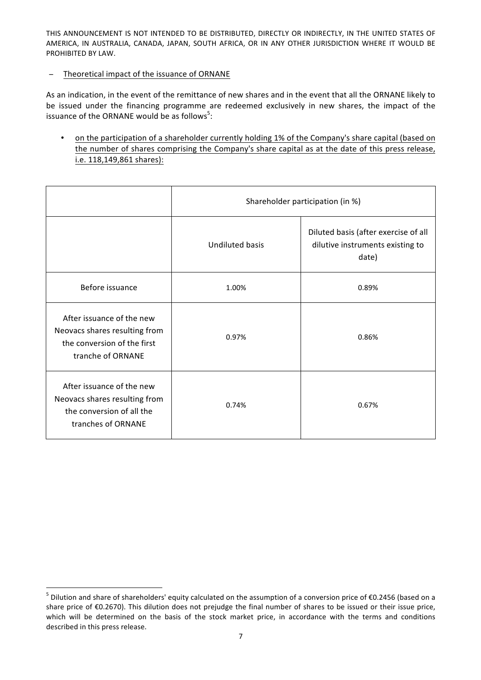#### − Theoretical impact of the issuance of ORNANE

<u> 1989 - Jan Samuel Barbara, margaret e</u>

As an indication, in the event of the remittance of new shares and in the event that all the ORNANE likely to be issued under the financing programme are redeemed exclusively in new shares, the impact of the issuance of the ORNANE would be as follows<sup>5</sup>:

• on the participation of a shareholder currently holding 1% of the Company's share capital (based on the number of shares comprising the Company's share capital as at the date of this press release, i.e. 118,149,861 shares):

|                                                                                                                | Shareholder participation (in %) |                                                                                   |
|----------------------------------------------------------------------------------------------------------------|----------------------------------|-----------------------------------------------------------------------------------|
|                                                                                                                | <b>Undiluted basis</b>           | Diluted basis (after exercise of all<br>dilutive instruments existing to<br>date) |
| Before issuance                                                                                                | 1.00%                            | 0.89%                                                                             |
| After issuance of the new<br>Neovacs shares resulting from<br>the conversion of the first<br>tranche of ORNANE | 0.97%                            | 0.86%                                                                             |
| After issuance of the new<br>Neovacs shares resulting from<br>the conversion of all the<br>tranches of ORNANE  | 0.74%                            | 0.67%                                                                             |

 $^5$  Dilution and share of shareholders' equity calculated on the assumption of a conversion price of €0.2456 (based on a share price of  $E(0.2670)$ . This dilution does not prejudge the final number of shares to be issued or their issue price, which will be determined on the basis of the stock market price, in accordance with the terms and conditions described in this press release.